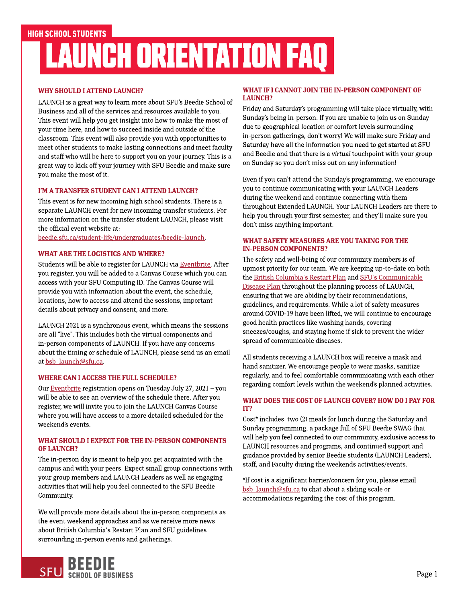## WHY SHOULD I ATTEND LAUNCH?

LAUNCH is a great way to learn more about SFU's Beedie School of Business and all of the services and resources available to you. This event will help you get insight into how to make the most of your time here, and how to succeed inside and outside of the classroom. This event will also provide you with opportunities to meet other students to make lasting connections and meet faculty and staff who will be here to support you on your journey. This is a great way to kick off your journey with SFU Beedie and make sure you make the most of it.

## I'M A TRANSFER STUDENT CAN I ATTEND LAUNCH?

This event is for new incoming high school students. There is a separate LAUNCH event for new incoming transfer students. For more information on the transfer student LAUNCH, please visit the official event website at:

[beedie.sfu.ca/student-life/undergraduates/beedie-launch.](http://beedie.sfu.ca/student-life/undergraduates/beedie-launch)

## WHAT ARE THE LOGISTICS AND WHERE?

Students will be able to register for LAUNCH via [Eventbrite](https://beedielaunch2021.eventbrite.ca/). After you register, you will be added to a Canvas Course which you can access with your SFU Computing ID. The Canvas Course will provide you with information about the event, the schedule, locations, how to access and attend the sessions, important details about privacy and consent, and more.

LAUNCH 2021 is a synchronous event, which means the sessions are all "live". This includes both the virtual components and in-person components of LAUNCH. If you have any concerns about the timing or schedule of LAUNCH, please send us an email at bsb\_launch@sfu.ca.

### WHERE CAN I ACCESS THE FULL SCHEDULE?

Our [Eventbrite](https://beedielaunch2021.eventbrite.ca/) registration opens on Tuesday July 27, 2021 - you will be able to see an overview of the schedule there. After you register, we will invite you to join the LAUNCH Canvas Course where you will have access to a more detailed scheduled for the weekend?s events.

### WHAT SHOULD I EXPECT FOR THE IN-PERSON COMPONENTS OF LAUNCH?

The in-person day is meant to help you get acquainted with the campus and with your peers. Expect small group connections with your group members and LAUNCH Leaders as well as engaging activities that will help you feel connected to theSFU Beedie Community.

We will provide more details about the in-person components as the event weekend approaches and as we receive more news about British Columbia's Restart Plan and SFU guidelines surrounding in-person events and gatherings.

## WHAT IF I CANNOT JOIN THE IN-PERSON COMPONENT OF LAUNCH?

Friday and Saturday?s programming will take place virtually, with Sunday?s being in-person. If you are unable to join us on Sunday due to geographical location or comfort levels surrounding in-person gatherings, don?t worry! We will make sure Friday and Saturday have all the information you need to get started at SFU and Beedie and that there is a **virtual** touchpoint with your group on Sunday so you don?t miss out on any information!

Even if you can't attend the Sunday's programming, we encourage you to continue communicating with your LAUNCH Leaders during the weekend and continue connecting with them throughout Extended LAUNCH. Your LAUNCH Leaders are there to help you through your first semester, and they?ll make sure you don?t miss anything important.

### WHAT SAFETY MEASURES ARE YOU TAKING FOR THE IN-PERSON COMPONENTS?

The safety and well-being of our community members is of upmost priority for our team. We are keeping up-to-date on both the [British](https://www2.gov.bc.ca/gov/content/covid-19/info/restart) [Columbia's](https://www2.gov.bc.ca/gov/content/covid-19/info/restart) [Restart](https://www2.gov.bc.ca/gov/content/covid-19/info/restart) [Plan](https://www2.gov.bc.ca/gov/content/covid-19/info/restart) and [SFU's](https://www.sfu.ca/srs/work-research-safety/general-safety/cdp.html) [Communicable](https://www.sfu.ca/srs/work-research-safety/general-safety/cdp.html) Disease Plan throughout the planning process of LAUNCH, ensuring that we are abiding by their recommendations, guidelines, and requirements. While a lot of safety measures around COVID-19 have been lifted, we will continue to encourage good health practices like washing hands, covering sneezes/coughs, and staying home if sick to prevent the wider spread of communicable diseases.

All students receiving a LAUNCH box will receive a mask and hand sanitizer. We encourage people to wear masks, sanitize regularly, and to feel comfortable communicating with each other regarding comfort levels within the weekend's planned activities.

## WHAT DOES THE COST OF LAUNCH COVER? HOW DO I PAY FOR IT?

Cost\* includes: two (2) meals for lunch during the Saturday and Sunday programming, a package full of SFU Beedie SWAG that will help you feel connected to our community, exclusive access to LAUNCH resources and programs, and continued support and guidance provided by senior Beedie students (LAUNCH Leaders), staff, and Faculty during the weekends activities/events.

\*If cost is a significant barrier/concern for you, please email bsb\_launch@sfu.ca to chat about a sliding scale or accommodations regarding the cost of this program.